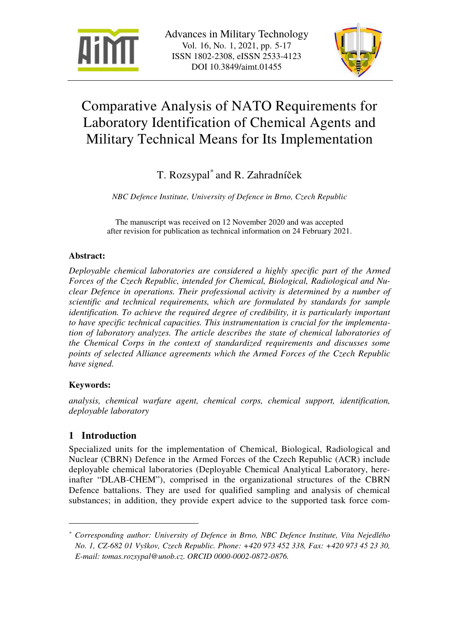



# Comparative Analysis of NATO Requirements for Laboratory Identification of Chemical Agents and Military Technical Means for Its Implementation

T. Rozsypal\* and R. Zahradníček

*NBC Defence Institute, University of Defence in Brno, Czech Republic* 

The manuscript was received on 12 November 2020 and was accepted after revision for publication as technical information on 24 February 2021.

# **Abstract:**

*Deployable chemical laboratories are considered a highly specific part of the Armed Forces of the Czech Republic, intended for Chemical, Biological, Radiological and Nuclear Defence in operations. Their professional activity is determined by a number of scientific and technical requirements, which are formulated by standards for sample identification. To achieve the required degree of credibility, it is particularly important to have specific technical capacities. This instrumentation is crucial for the implementation of laboratory analyzes. The article describes the state of chemical laboratories of the Chemical Corps in the context of standardized requirements and discusses some points of selected Alliance agreements which the Armed Forces of the Czech Republic have signed.* 

# **Keywords:**

 $\overline{a}$ 

*analysis, chemical warfare agent, chemical corps, chemical support, identification, deployable laboratory* 

# **1 Introduction**

Specialized units for the implementation of Chemical, Biological, Radiological and Nuclear (CBRN) Defence in the Armed Forces of the Czech Republic (ACR) include deployable chemical laboratories (Deployable Chemical Analytical Laboratory, hereinafter "DLAB-CHEM"), comprised in the organizational structures of the CBRN Defence battalions. They are used for qualified sampling and analysis of chemical substances; in addition, they provide expert advice to the supported task force com-

*<sup>\*</sup> Corresponding author: University of Defence in Brno, NBC Defence Institute, Víta Nejedlého No. 1, CZ-682 01 Vyškov, Czech Republic. Phone: +420 973 452 338, Fax: +420 973 45 23 30, E-mail: tomas.rozsypal@unob.cz. ORCID 0000-0002-0872-0876.*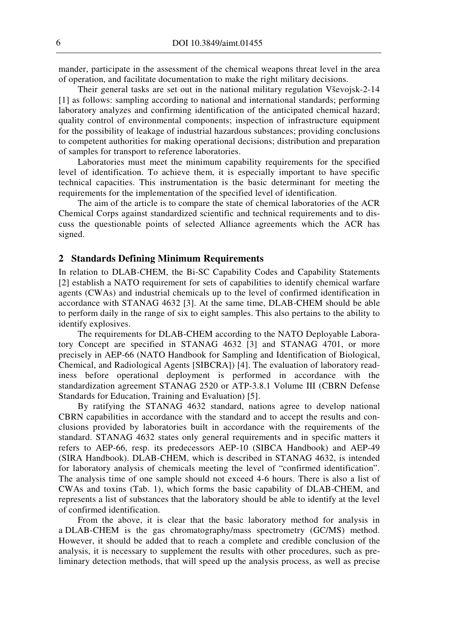mander, participate in the assessment of the chemical weapons threat level in the area of operation, and facilitate documentation to make the right military decisions.

Their general tasks are set out in the national military regulation Vševojsk-2-14 [1] as follows: sampling according to national and international standards; performing laboratory analyzes and confirming identification of the anticipated chemical hazard; quality control of environmental components; inspection of infrastructure equipment for the possibility of leakage of industrial hazardous substances; providing conclusions to competent authorities for making operational decisions; distribution and preparation of samples for transport to reference laboratories.

Laboratories must meet the minimum capability requirements for the specified level of identification. To achieve them, it is especially important to have specific technical capacities. This instrumentation is the basic determinant for meeting the requirements for the implementation of the specified level of identification.

The aim of the article is to compare the state of chemical laboratories of the ACR Chemical Corps against standardized scientific and technical requirements and to discuss the questionable points of selected Alliance agreements which the ACR has signed.

#### **2 Standards Defining Minimum Requirements**

In relation to DLAB-CHEM, the Bi-SC Capability Codes and Capability Statements [2] establish a NATO requirement for sets of capabilities to identify chemical warfare agents (CWAs) and industrial chemicals up to the level of confirmed identification in accordance with STANAG 4632 [3]. At the same time, DLAB-CHEM should be able to perform daily in the range of six to eight samples. This also pertains to the ability to identify explosives.

The requirements for DLAB-CHEM according to the NATO Deployable Laboratory Concept are specified in STANAG 4632 [3] and STANAG 4701, or more precisely in AEP-66 (NATO Handbook for Sampling and Identification of Biological, Chemical, and Radiological Agents [SIBCRA]) [4]. The evaluation of laboratory readiness before operational deployment is performed in accordance with the standardization agreement STANAG 2520 or ATP-3.8.1 Volume III (CBRN Defense Standards for Education, Training and Evaluation) [5].

By ratifying the STANAG 4632 standard, nations agree to develop national CBRN capabilities in accordance with the standard and to accept the results and conclusions provided by laboratories built in accordance with the requirements of the standard. STANAG 4632 states only general requirements and in specific matters it refers to AEP-66, resp. its predecessors AEP-10 (SIBCA Handbook) and AEP-49 (SIRA Handbook). DLAB-CHEM, which is described in STANAG 4632, is intended for laboratory analysis of chemicals meeting the level of "confirmed identification". The analysis time of one sample should not exceed 4-6 hours. There is also a list of CWAs and toxins (Tab. 1), which forms the basic capability of DLAB-CHEM, and represents a list of substances that the laboratory should be able to identify at the level of confirmed identification.

From the above, it is clear that the basic laboratory method for analysis in a DLAB-CHEM is the gas chromatography/mass spectrometry (GC/MS) method. However, it should be added that to reach a complete and credible conclusion of the analysis, it is necessary to supplement the results with other procedures, such as preliminary detection methods, that will speed up the analysis process, as well as precise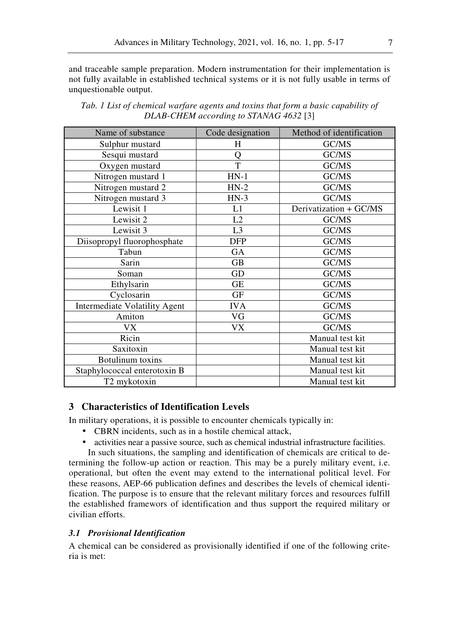and traceable sample preparation. Modern instrumentation for their implementation is not fully available in established technical systems or it is not fully usable in terms of unquestionable output.

| Name of substance                    | Code designation | Method of identification |
|--------------------------------------|------------------|--------------------------|
| Sulphur mustard                      | H                | GC/MS                    |
| Sesqui mustard                       | Q                | GC/MS                    |
| Oxygen mustard                       | T                | GC/MS                    |
| Nitrogen mustard 1                   | $HN-1$           | GC/MS                    |
| Nitrogen mustard 2                   | $HN-2$           | GC/MS                    |
| Nitrogen mustard 3                   | $HN-3$           | GC/MS                    |
| Lewisit 1                            | L1               | Derivatization + GC/MS   |
| Lewisit 2                            | L2               | GC/MS                    |
| Lewisit 3                            | L <sub>3</sub>   | GC/MS                    |
| Diisopropyl fluorophosphate          | <b>DFP</b>       | GC/MS                    |
| Tabun                                | GA               | GC/MS                    |
| Sarin                                | <b>GB</b>        | GC/MS                    |
| Soman                                | GD               | GC/MS                    |
| Ethylsarin                           | <b>GE</b>        | GC/MS                    |
| Cyclosarin                           | GF               | GC/MS                    |
| <b>Intermediate Volatility Agent</b> | <b>IVA</b>       | GC/MS                    |
| Amiton                               | VG               | GC/MS                    |
| VX.                                  | VX               | GC/MS                    |
| Ricin                                |                  | Manual test kit          |
| Saxitoxin                            |                  | Manual test kit          |
| <b>Botulinum</b> toxins              |                  | Manual test kit          |
| Staphylococcal enterotoxin B         |                  | Manual test kit          |
| T2 mykotoxin                         |                  | Manual test kit          |

*Tab. 1 List of chemical warfare agents and toxins that form a basic capability of DLAB-CHEM according to STANAG 4632* [3]

## **3 Characteristics of Identification Levels**

In military operations, it is possible to encounter chemicals typically in:

- CBRN incidents, such as in a hostile chemical attack,
- activities near a passive source, such as chemical industrial infrastructure facilities.

In such situations, the sampling and identification of chemicals are critical to determining the follow-up action or reaction. This may be a purely military event, i.e. operational, but often the event may extend to the international political level. For these reasons, AEP-66 publication defines and describes the levels of chemical identification. The purpose is to ensure that the relevant military forces and resources fulfill the established framewors of identification and thus support the required military or civilian efforts.

#### *3.1 Provisional Identification*

A chemical can be considered as provisionally identified if one of the following criteria is met: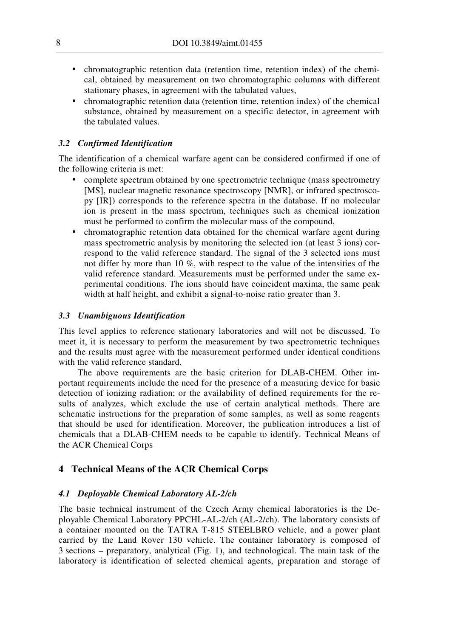- chromatographic retention data (retention time, retention index) of the chemical, obtained by measurement on two chromatographic columns with different stationary phases, in agreement with the tabulated values,
- chromatographic retention data (retention time, retention index) of the chemical substance, obtained by measurement on a specific detector, in agreement with the tabulated values.

#### *3.2 Confirmed Identification*

The identification of a chemical warfare agent can be considered confirmed if one of the following criteria is met:

- complete spectrum obtained by one spectrometric technique (mass spectrometry [MS], nuclear magnetic resonance spectroscopy [NMR], or infrared spectrosco-py [IR]) corresponds to the reference spectra in the database. If no molecular ion is present in the mass spectrum, techniques such as chemical ionization must be performed to confirm the molecular mass of the compound,
- chromatographic retention data obtained for the chemical warfare agent during mass spectrometric analysis by monitoring the selected ion (at least 3 ions) correspond to the valid reference standard. The signal of the 3 selected ions must not differ by more than 10 %, with respect to the value of the intensities of the valid reference standard. Measurements must be performed under the same experimental conditions. The ions should have coincident maxima, the same peak width at half height, and exhibit a signal-to-noise ratio greater than 3.

#### *3.3 Unambiguous Identification*

This level applies to reference stationary laboratories and will not be discussed. To meet it, it is necessary to perform the measurement by two spectrometric techniques and the results must agree with the measurement performed under identical conditions with the valid reference standard.

The above requirements are the basic criterion for DLAB-CHEM. Other important requirements include the need for the presence of a measuring device for basic detection of ionizing radiation; or the availability of defined requirements for the results of analyzes, which exclude the use of certain analytical methods. There are schematic instructions for the preparation of some samples, as well as some reagents that should be used for identification. Moreover, the publication introduces a list of chemicals that a DLAB-CHEM needs to be capable to identify. Technical Means of the ACR Chemical Corps

#### **4 Technical Means of the ACR Chemical Corps**

#### *4.1 Deployable Chemical Laboratory AL-2/ch*

The basic technical instrument of the Czech Army chemical laboratories is the Deployable Chemical Laboratory PPCHL-AL-2/ch (AL-2/ch). The laboratory consists of a container mounted on the TATRA T-815 STEELBRO vehicle, and a power plant carried by the Land Rover 130 vehicle. The container laboratory is composed of 3 sections – preparatory, analytical (Fig. 1), and technological. The main task of the laboratory is identification of selected chemical agents, preparation and storage of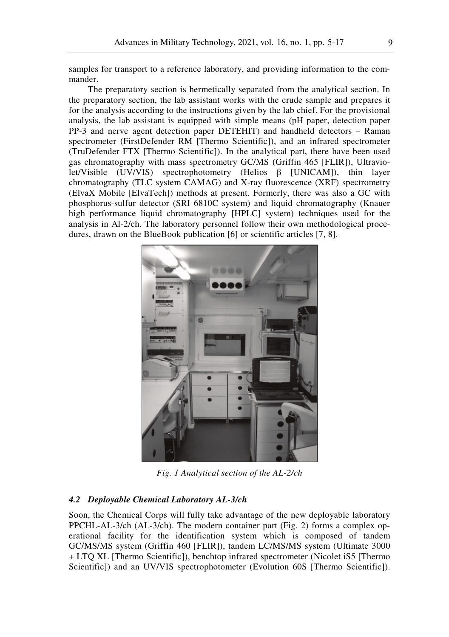samples for transport to a reference laboratory, and providing information to the commander.

The preparatory section is hermetically separated from the analytical section. In the preparatory section, the lab assistant works with the crude sample and prepares it for the analysis according to the instructions given by the lab chief. For the provisional analysis, the lab assistant is equipped with simple means (pH paper, detection paper PP-3 and nerve agent detection paper DETEHIT) and handheld detectors – Raman spectrometer (FirstDefender RM [Thermo Scientific]), and an infrared spectrometer (TruDefender FTX [Thermo Scientific]). In the analytical part, there have been used gas chromatography with mass spectrometry GC/MS (Griffin 465 [FLIR]), Ultraviolet/Visible (UV/VIS) spectrophotometry (Helios β [UNICAM]), thin layer chromatography (TLC system CAMAG) and X-ray fluorescence (XRF) spectrometry (ElvaX Mobile [ElvaTech]) methods at present. Formerly, there was also a GC with phosphorus-sulfur detector (SRI 6810C system) and liquid chromatography (Knauer high performance liquid chromatography [HPLC] system) techniques used for the analysis in Al-2/ch. The laboratory personnel follow their own methodological procedures, drawn on the BlueBook publication [6] or scientific articles [7, 8].



*Fig. 1 Analytical section of the AL-2/ch* 

## *4.2 Deployable Chemical Laboratory AL-3/ch*

Soon, the Chemical Corps will fully take advantage of the new deployable laboratory PPCHL-AL-3/ch (AL-3/ch). The modern container part (Fig. 2) forms a complex operational facility for the identification system which is composed of tandem GC/MS/MS system (Griffin 460 [FLIR]), tandem LC/MS/MS system (Ultimate 3000 + LTQ XL [Thermo Scientific]), benchtop infrared spectrometer (Nicolet iS5 [Thermo Scientific]) and an UV/VIS spectrophotometer (Evolution 60S [Thermo Scientific]).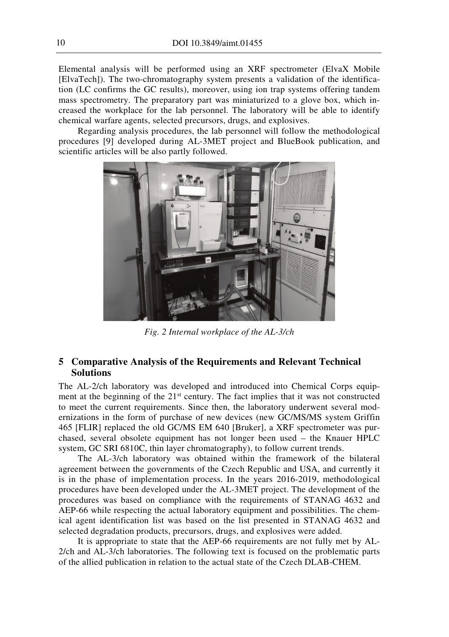Elemental analysis will be performed using an XRF spectrometer (ElvaX Mobile [ElvaTech]). The two-chromatography system presents a validation of the identification (LC confirms the GC results), moreover, using ion trap systems offering tandem mass spectrometry. The preparatory part was miniaturized to a glove box, which increased the workplace for the lab personnel. The laboratory will be able to identify chemical warfare agents, selected precursors, drugs, and explosives.

Regarding analysis procedures, the lab personnel will follow the methodological procedures [9] developed during AL-3MET project and BlueBook publication, and scientific articles will be also partly followed.



*Fig. 2 Internal workplace of the AL-3/ch* 

# **5 Comparative Analysis of the Requirements and Relevant Technical Solutions**

The AL-2/ch laboratory was developed and introduced into Chemical Corps equipment at the beginning of the 21<sup>st</sup> century. The fact implies that it was not constructed to meet the current requirements. Since then, the laboratory underwent several modernizations in the form of purchase of new devices (new GC/MS/MS system Griffin 465 [FLIR] replaced the old GC/MS EM 640 [Bruker], a XRF spectrometer was purchased, several obsolete equipment has not longer been used – the Knauer HPLC system, GC SRI 6810C, thin layer chromatography), to follow current trends.

The AL-3/ch laboratory was obtained within the framework of the bilateral agreement between the governments of the Czech Republic and USA, and currently it is in the phase of implementation process. In the years 2016-2019, methodological procedures have been developed under the AL-3MET project. The development of the procedures was based on compliance with the requirements of STANAG 4632 and AEP-66 while respecting the actual laboratory equipment and possibilities. The chemical agent identification list was based on the list presented in STANAG 4632 and selected degradation products, precursors, drugs, and explosives were added.

It is appropriate to state that the AEP-66 requirements are not fully met by AL-2/ch and AL-3/ch laboratories. The following text is focused on the problematic parts of the allied publication in relation to the actual state of the Czech DLAB-CHEM.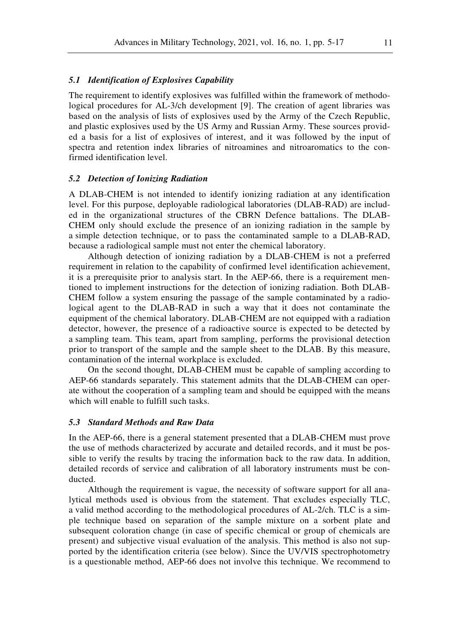#### *5.1 Identification of Explosives Capability*

The requirement to identify explosives was fulfilled within the framework of methodological procedures for AL-3/ch development [9]. The creation of agent libraries was based on the analysis of lists of explosives used by the Army of the Czech Republic, and plastic explosives used by the US Army and Russian Army. These sources provided a basis for a list of explosives of interest, and it was followed by the input of spectra and retention index libraries of nitroamines and nitroaromatics to the confirmed identification level.

#### *5.2 Detеction of Ionizing Radiation*

A DLAB-CHEM is not intended to identify ionizing radiation at any identification level. For this purpose, deployable radiological laboratories (DLAB-RAD) are included in the organizational structures of the CBRN Defence battalions. The DLAB-CHEM only should exclude the presence of an ionizing radiation in the sample by a simple detection technique, or to pass the contaminated sample to a DLAB-RAD, because a radiological sample must not enter the chemical laboratory.

Although detection of ionizing radiation by a DLAB-CHEM is not a preferred requirement in relation to the capability of confirmed level identification achievement, it is a prerequisite prior to analysis start. In the AEP-66, there is a requirement mentioned to implement instructions for the detection of ionizing radiation. Both DLAB-CHEM follow a system ensuring the passage of the sample contaminated by a radiological agent to the DLAB-RAD in such a way that it does not contaminate the equipment of the chemical laboratory. DLAB-CHEM are not equipped with a radiation detector, however, the presence of a radioactive source is expected to be detected by a sampling team. This team, apart from sampling, performs the provisional detection prior to transport of the sample and the sample sheet to the DLAB. By this measure, contamination of the internal workplace is excluded.

On the second thought, DLAB-CHEM must be capable of sampling according to AEP-66 standards separately. This statement admits that the DLAB-CHEM can operate without the cooperation of a sampling team and should be equipped with the means which will enable to fulfill such tasks.

#### *5.3 Standard Methods and Raw Data*

In the AEP-66, there is a general statement presented that a DLAB-CHEM must prove the use of methods characterized by accurate and detailed records, and it must be possible to verify the results by tracing the information back to the raw data. In addition, detailed records of service and calibration of all laboratory instruments must be conducted.

Although the requirement is vague, the necessity of software support for all analytical methods used is obvious from the statement. That excludes especially TLC, a valid method according to the methodological procedures of AL-2/ch. TLC is a simple technique based on separation of the sample mixture on a sorbent plate and subsequent coloration change (in case of specific chemical or group of chemicals are present) and subjective visual evaluation of the analysis. This method is also not supported by the identification criteria (see below). Since the UV/VIS spectrophotometry is a questionable method, AEP-66 does not involve this technique. We recommend to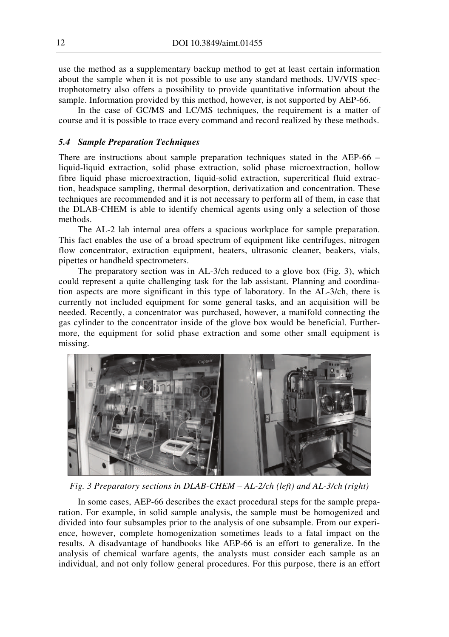use the method as a supplementary backup method to get at least certain information about the sample when it is not possible to use any standard methods. UV/VIS spectrophotometry also offers a possibility to provide quantitative information about the sample. Information provided by this method, however, is not supported by AEP-66.

In the case of GC/MS and LC/MS techniques, the requirement is a matter of course and it is possible to trace every command and record realized by these methods.

#### *5.4 Sample Preparation Techniques*

There are instructions about sample preparation techniques stated in the AEP-66 – liquid-liquid extraction, solid phase extraction, solid phase microextraction, hollow fibre liquid phase microextraction, liquid-solid extraction, supercritical fluid extraction, headspace sampling, thermal desorption, derivatization and concentration. These techniques are recommended and it is not necessary to perform all of them, in case that the DLAB-CHEM is able to identify chemical agents using only a selection of those methods.

The AL-2 lab internal area offers a spacious workplace for sample preparation. This fact enables the use of a broad spectrum of equipment like centrifuges, nitrogen flow concentrator, extraction equipment, heaters, ultrasonic cleaner, beakers, vials, pipettes or handheld spectrometers.

The preparatory section was in AL-3/ch reduced to a glove box (Fig. 3), which could represent a quite challenging task for the lab assistant. Planning and coordination aspects are more significant in this type of laboratory. In the AL-3/ch, there is currently not included equipment for some general tasks, and an acquisition will be needed. Recently, a concentrator was purchased, however, a manifold connecting the gas cylinder to the concentrator inside of the glove box would be beneficial. Furthermore, the equipment for solid phase extraction and some other small equipment is missing.



*Fig. 3 Preparatory sections in DLAB-CHEM – AL-2/ch (left) and AL-3/ch (right)* 

In some cases, AEP-66 describes the exact procedural steps for the sample preparation. For example, in solid sample analysis, the sample must be homogenized and divided into four subsamples prior to the analysis of one subsample. From our experience, however, complete homogenization sometimes leads to a fatal impact on the results. A disadvantage of handbooks like AEP-66 is an effort to generalize. In the analysis of chemical warfare agents, the analysts must consider each sample as an individual, and not only follow general procedures. For this purpose, there is an effort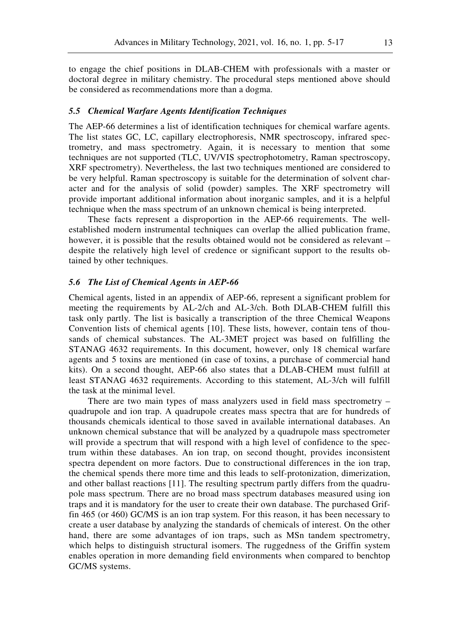to engage the chief positions in DLAB-CHEM with professionals with a master or doctoral degree in military chemistry. The procedural steps mentioned above should be considered as recommendations more than a dogma.

#### *5.5 Chemical Warfare Agents Identification Techniques*

The AEP-66 determines a list of identification techniques for chemical warfare agents. The list states GC, LC, capillary electrophoresis, NMR spectroscopy, infrared spectrometry, and mass spectrometry. Again, it is necessary to mention that some techniques are not supported (TLC, UV/VIS spectrophotometry, Raman spectroscopy, XRF spectrometry). Nevertheless, the last two techniques mentioned are considered to be very helpful. Raman spectroscopy is suitable for the determination of solvent character and for the analysis of solid (powder) samples. The XRF spectrometry will provide important additional information about inorganic samples, and it is a helpful technique when the mass spectrum of an unknown chemical is being interpreted.

These facts represent a disproportion in the AEP-66 requirements. The wellestablished modern instrumental techniques can overlap the allied publication frame, however, it is possible that the results obtained would not be considered as relevant – despite the relatively high level of credence or significant support to the results obtained by other techniques.

#### *5.6 The List of Chemical Agents in AEP-66*

Chemical agents, listed in an appendix of AEP-66, represent a significant problem for meeting the requirements by AL-2/ch and AL-3/ch. Both DLAB-CHEM fulfill this task only partly. The list is basically a transcription of the three Chemical Weapons Convention lists of chemical agents [10]. These lists, however, contain tens of thousands of chemical substances. The AL-3MET project was based on fulfilling the STANAG 4632 requirements. In this document, however, only 18 chemical warfare agents and 5 toxins are mentioned (in case of toxins, a purchase of commercial hand kits). On a second thought, AEP-66 also states that a DLAB-CHEM must fulfill at least STANAG 4632 requirements. According to this statement, AL-3/ch will fulfill the task at the minimal level.

There are two main types of mass analyzers used in field mass spectrometry – quadrupole and ion trap. A quadrupole creates mass spectra that are for hundreds of thousands chemicals identical to those saved in available international databases. An unknown chemical substance that will be analyzed by a quadrupole mass spectrometer will provide a spectrum that will respond with a high level of confidence to the spectrum within these databases. An ion trap, on second thought, provides inconsistent spectra dependent on more factors. Due to constructional differences in the ion trap, the chemical spends there more time and this leads to self-protonization, dimerization, and other ballast reactions [11]. The resulting spectrum partly differs from the quadrupole mass spectrum. There are no broad mass spectrum databases measured using ion traps and it is mandatory for the user to create their own database. The purchased Griffin 465 (or 460) GC/MS is an ion trap system. For this reason, it has been necessary to create a user database by analyzing the standards of chemicals of interest. On the other hand, there are some advantages of ion traps, such as MSn tandem spectrometry, which helps to distinguish structural isomers. The ruggedness of the Griffin system enables operation in more demanding field environments when compared to benchtop GC/MS systems.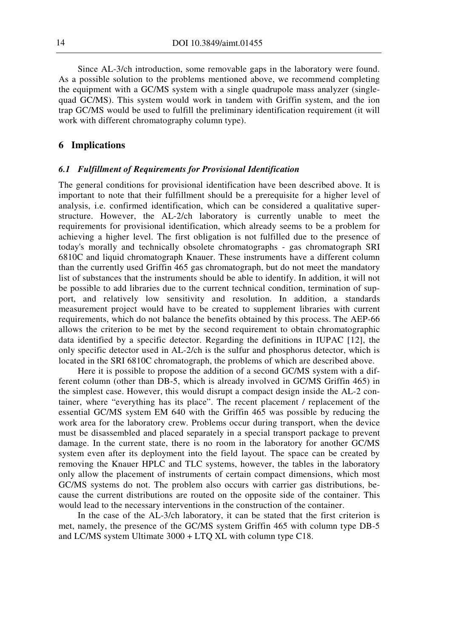Since AL-3/ch introduction, some removable gaps in the laboratory were found. As a possible solution to the problems mentioned above, we recommend completing the equipment with a GC/MS system with a single quadrupole mass analyzer (singlequad GC/MS). This system would work in tandem with Griffin system, and the ion trap GC/MS would be used to fulfill the preliminary identification requirement (it will work with different chromatography column type).

# **6 Implications**

#### *6.1 Fulfillment of Requirements for Provisional Identification*

The general conditions for provisional identification have been described above. It is important to note that their fulfillment should be a prerequisite for a higher level of analysis, i.e. confirmed identification, which can be considered a qualitative superstructure. However, the AL-2/ch laboratory is currently unable to meet the requirements for provisional identification, which already seems to be a problem for achieving a higher level. The first obligation is not fulfilled due to the presence of today's morally and technically obsolete chromatographs - gas chromatograph SRI 6810C and liquid chromatograph Knauer. These instruments have a different column than the currently used Griffin 465 gas chromatograph, but do not meet the mandatory list of substances that the instruments should be able to identify. In addition, it will not be possible to add libraries due to the current technical condition, termination of support, and relatively low sensitivity and resolution. In addition, a standards measurement project would have to be created to supplement libraries with current requirements, which do not balance the benefits obtained by this process. The AEP-66 allows the criterion to be met by the second requirement to obtain chromatographic data identified by a specific detector. Regarding the definitions in IUPAC [12], the only specific detector used in AL-2/ch is the sulfur and phosphorus detector, which is located in the SRI 6810C chromatograph, the problems of which are described above.

Here it is possible to propose the addition of a second GC/MS system with a different column (other than DB-5, which is already involved in GC/MS Griffin 465) in the simplest case. However, this would disrupt a compact design inside the AL-2 container, where "everything has its place". The recent placement / replacement of the essential GC/MS system EM 640 with the Griffin 465 was possible by reducing the work area for the laboratory crew. Problems occur during transport, when the device must be disassembled and placed separately in a special transport package to prevent damage. In the current state, there is no room in the laboratory for another GC/MS system even after its deployment into the field layout. The space can be created by removing the Knauer HPLC and TLC systems, however, the tables in the laboratory only allow the placement of instruments of certain compact dimensions, which most GC/MS systems do not. The problem also occurs with carrier gas distributions, because the current distributions are routed on the opposite side of the container. This would lead to the necessary interventions in the construction of the container.

In the case of the AL-3/ch laboratory, it can be stated that the first criterion is met, namely, the presence of the GC/MS system Griffin 465 with column type DB-5 and LC/MS system Ultimate 3000 + LTQ XL with column type C18.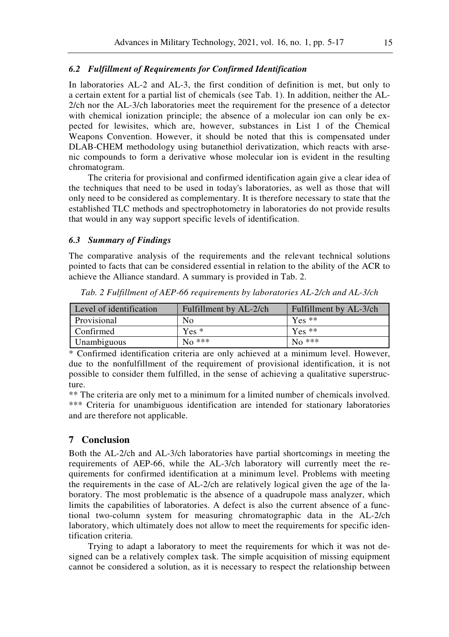#### *6.2 Fulfillment of Requirements for Confirmed Identification*

In laboratories AL-2 and AL-3, the first condition of definition is met, but only to a certain extent for a partial list of chemicals (see Tab. 1). In addition, neither the AL-2/ch nor the AL-3/ch laboratories meet the requirement for the presence of a detector with chemical ionization principle; the absence of a molecular ion can only be expected for lewisites, which are, however, substances in List 1 of the Chemical Weapons Convention. However, it should be noted that this is compensated under DLAB-CHEM methodology using butanethiol derivatization, which reacts with arsenic compounds to form a derivative whose molecular ion is evident in the resulting chromatogram.

The criteria for provisional and confirmed identification again give a clear idea of the techniques that need to be used in today's laboratories, as well as those that will only need to be considered as complementary. It is therefore necessary to state that the established TLC methods and spectrophotometry in laboratories do not provide results that would in any way support specific levels of identification.

#### *6.3 Summary of Findings*

The comparative analysis of the requirements and the relevant technical solutions pointed to facts that can be considered essential in relation to the ability of the ACR to achieve the Alliance standard. A summary is provided in Tab. 2.

| Level of identification | Fulfillment by AL-2/ch | Fulfillment by AL-3/ch |
|-------------------------|------------------------|------------------------|
| Provisional             | No                     | $Yes **$               |
| Confirmed               | $Yes*$                 | $Yes **$               |
| Unambiguous             | $No$ ***               | $\rm No$ ***           |

*Tab. 2 Fulfillment of AEP-66 requirements by laboratories AL-2/ch and AL-3/ch* 

\* Confirmed identification criteria are only achieved at a minimum level. However, due to the nonfulfillment of the requirement of provisional identification, it is not possible to consider them fulfilled, in the sense of achieving a qualitative superstructure.

\*\* The criteria are only met to a minimum for a limited number of chemicals involved. \*\*\* Criteria for unambiguous identification are intended for stationary laboratories and are therefore not applicable.

#### **7 Conclusion**

Both the AL-2/ch and AL-3/ch laboratories have partial shortcomings in meeting the requirements of AEP-66, while the AL-3/ch laboratory will currently meet the requirements for confirmed identification at a minimum level. Problems with meeting the requirements in the case of AL-2/ch are relatively logical given the age of the laboratory. The most problematic is the absence of a quadrupole mass analyzer, which limits the capabilities of laboratories. A defect is also the current absence of a functional two-column system for measuring chromatographic data in the AL-2/ch laboratory, which ultimately does not allow to meet the requirements for specific identification criteria.

Trying to adapt a laboratory to meet the requirements for which it was not designed can be a relatively complex task. The simple acquisition of missing equipment cannot be considered a solution, as it is necessary to respect the relationship between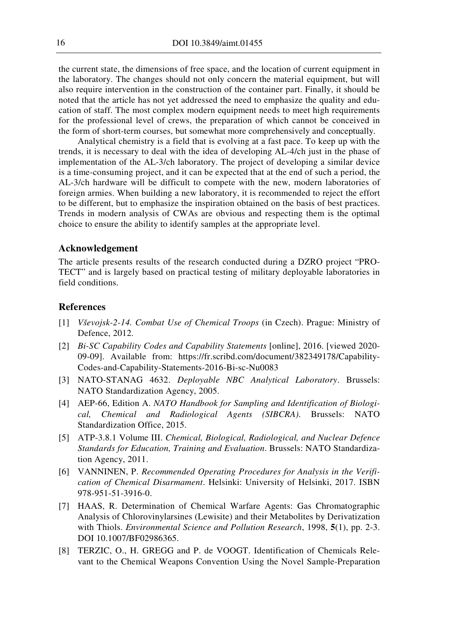the current state, the dimensions of free space, and the location of current equipment in the laboratory. The changes should not only concern the material equipment, but will also require intervention in the construction of the container part. Finally, it should be noted that the article has not yet addressed the need to emphasize the quality and education of staff. The most complex modern equipment needs to meet high requirements for the professional level of crews, the preparation of which cannot be conceived in the form of short-term courses, but somewhat more comprehensively and conceptually.

Analytical chemistry is a field that is evolving at a fast pace. To keep up with the trends, it is necessary to deal with the idea of developing AL-4/ch just in the phase of implementation of the AL-3/ch laboratory. The project of developing a similar device is a time-consuming project, and it can be expected that at the end of such a period, the AL-3/ch hardware will be difficult to compete with the new, modern laboratories of foreign armies. When building a new laboratory, it is recommended to reject the effort to be different, but to emphasize the inspiration obtained on the basis of best practices. Trends in modern analysis of CWAs are obvious and respecting them is the optimal choice to ensure the ability to identify samples at the appropriate level.

#### **Acknowledgement**

The article presents results of the research conducted during a DZRO project "PRO-TECT" and is largely based on practical testing of military deployable laboratories in field conditions.

## **References**

- [1] *Vševojsk-2-14. Combat Use of Chemical Troops* (in Czech). Prague: Ministry of Defence, 2012.
- [2] *Bi-SC Capability Codes and Capability Statements* [online], 2016. [viewed 2020- 09-09]. Available from: https://fr.scribd.com/document/382349178/Capability-Codes-and-Capability-Statements-2016-Bi-sc-Nu0083
- [3] NATO-STANAG 4632. *Deployable NBC Analytical Laboratory*. Brussels: NATO Standardization Agency, 2005.
- [4] AEP-66, Edition A. *NATO Handbook for Sampling and Identification of Biological, Chemical and Radiological Agents (SIBCRA)*. Brussels: NATO Standardization Office, 2015.
- [5] ATP-3.8.1 Volume III. *Chemical, Biological, Radiological, and Nuclear Defence Standards for Education, Training and Evaluation*. Brussels: NATO Standardization Agency, 2011.
- [6] VANNINEN, P. *Recommended Operating Procedures for Analysis in the Verification of Chemical Disarmament*. Helsinki: University of Helsinki, 2017. ISBN 978-951-51-3916-0.
- [7] HAAS, R. Determination of Chemical Warfare Agents: Gas Chromatographic Analysis of Chlorovinylarsines (Lewisite) and their Metabolites by Derivatization with Thiols. *Environmental Science and Pollution Research*, 1998, **5**(1), pp. 2-3. DOI 10.1007/BF02986365.
- [8] TERZIC, O., H. GREGG and P. de VOOGT. Identification of Chemicals Relevant to the Chemical Weapons Convention Using the Novel Sample-Preparation